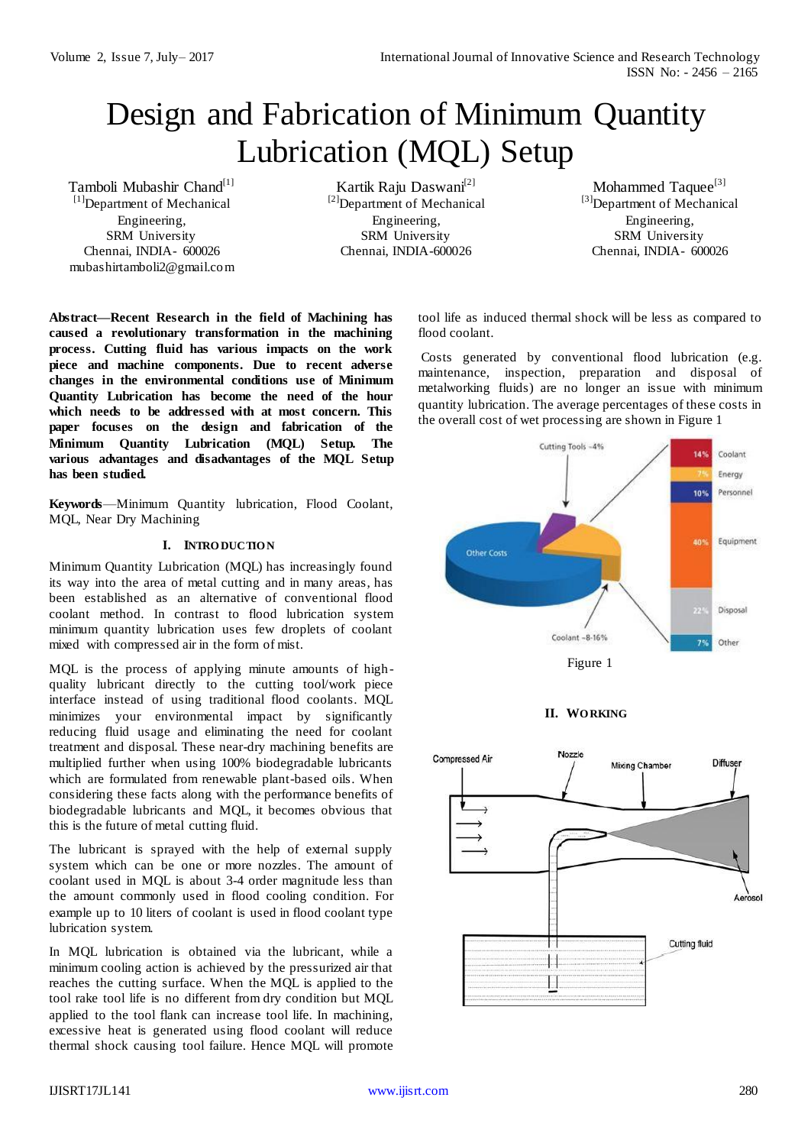# Design and Fabrication of Minimum Quantity Lubrication (MQL) Setup

Tamboli Mubashir Chand<sup>[1]</sup>  $[1]$ Department of Mechanical Engineering, SRM University Chennai, INDIA- 600026 [mubashirtamboli2@gmail.com](mailto:mubashirtamboli2@gmail.com)

Kartik Raju Daswani<sup>[2]</sup> [2]Department of Mechanical Engineering, SRM University Chennai, INDIA-600026

Mohammed Taquee<sup>[3]</sup> [3] Department of Mechanical Engineering, SRM University Chennai, INDIA- 600026

**Abstract—Recent Research in the field of Machining has caused a revolutionary transformation in the machining process. Cutting fluid has various impacts on the work piece and machine components. Due to recent adverse changes in the environmental conditions use of Minimum Quantity Lubrication has become the need of the hour which needs to be addressed with at most concern. This paper focuses on the design and fabrication of the Minimum Quantity Lubrication (MQL) Setup. The various advantages and disadvantages of the MQL Setup has been studied.**

**Keywords**—Minimum Quantity lubrication, Flood Coolant, MQL, Near Dry Machining

# **I. INTRO DUCTIO N**

Minimum Quantity Lubrication (MQL) has increasingly found its way into the area of metal cutting and in many areas, has been established as an alternative of conventional flood coolant method. In contrast to flood lubrication system minimum quantity lubrication uses few droplets of coolant mixed with compressed air in the form of mist.

MQL is the process of applying minute amounts of highquality lubricant directly to the cutting tool/work piece interface instead of using traditional flood coolants. MQL minimizes your environmental impact by significantly reducing fluid usage and eliminating the need for coolant treatment and disposal. These near-dry machining benefits are multiplied further when using 100% biodegradable lubricants which are formulated from renewable plant-based oils. When considering these facts along with the performance benefits of biodegradable lubricants and MQL, it becomes obvious that this is the future of metal cutting fluid.

The lubricant is sprayed with the help of external supply system which can be one or more nozzles. The amount of coolant used in MQL is about 3-4 order magnitude less than the amount commonly used in flood cooling condition. For example up to 10 liters of coolant is used in flood coolant type lubrication system.

In MQL lubrication is obtained via the lubricant, while a minimum cooling action is achieved by the pressurized air that reaches the cutting surface. When the MQL is applied to the tool rake tool life is no different from dry condition but MQL applied to the tool flank can increase tool life. In machining, excessive heat is generated using flood coolant will reduce thermal shock causing tool failure. Hence MQL will promote

tool life as induced thermal shock will be less as compared to flood coolant.

Costs generated by conventional flood lubrication (e.g. maintenance, inspection, preparation and disposal of metalworking fluids) are no longer an issue with minimum quantity lubrication. The average percentages of these costs in the overall cost of wet processing are shown in Figure 1





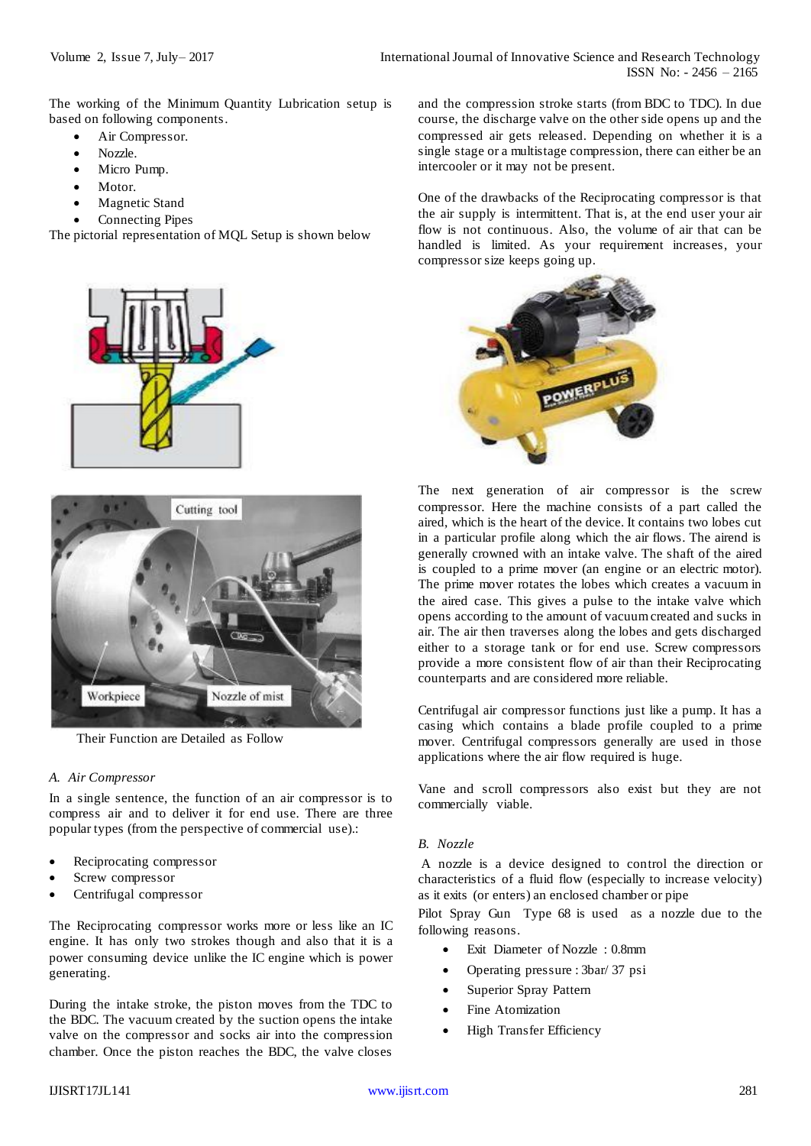The working of the Minimum Quantity Lubrication setup is based on following components.

- Air Compressor.
- Nozzle.
- Micro Pump.
- Motor.
- Magnetic Stand
- Connecting Pipes

The pictorial representation of MQL Setup is shown below





Their Function are Detailed as Follow

#### *A. Air Compressor*

In a single sentence, the function of an air compressor is to compress air and to deliver it for end use. There are three popular types (from the perspective of commercial use).:

- Reciprocating compressor
- Screw compressor
- Centrifugal compressor

The Reciprocating compressor works more or less like an IC engine. It has only two strokes though and also that it is a power consuming device unlike the IC engine which is power generating.

During the intake stroke, the piston moves from the TDC to the BDC. The vacuum created by the suction opens the intake valve on the compressor and socks air into the compression chamber. Once the piston reaches the BDC, the valve closes

and the compression stroke starts (from BDC to TDC). In due course, the discharge valve on the other side opens up and the compressed air gets released. Depending on whether it is a single stage or a multistage compression, there can either be an intercooler or it may not be present.

One of the drawbacks of the Reciprocating compressor is that the air supply is intermittent. That is, at the end user your air flow is not continuous. Also, the volume of air that can be handled is limited. As your requirement increases, your compressor size keeps going up.



The next generation of air compressor is the screw compressor. Here the machine consists of a part called the aired, which is the heart of the device. It contains two lobes cut in a particular profile along which the air flows. The airend is generally crowned with an intake valve. The shaft of the aired is coupled to a prime mover (an engine or an electric motor). The prime mover rotates the lobes which creates a vacuum in the aired case. This gives a pulse to the intake valve which opens according to the amount of vacuum created and sucks in air. The air then traverses along the lobes and gets discharged either to a storage tank or for end use. Screw compressors provide a more consistent flow of air than their Reciprocating counterparts and are considered more reliable.

Centrifugal air compressor functions just like a pump. It has a casing which contains a blade profile coupled to a prime mover. Centrifugal compressors generally are used in those applications where the air flow required is huge.

Vane and scroll compressors also exist but they are not commercially viable.

### *B. Nozzle*

A nozzle is a device designed to control the direction or characteristics of a fluid flow (especially to increase velocity) as it exits (or enters) an enclosed chamber or pipe

Pilot Spray Gun Type 68 is used as a nozzle due to the following reasons.

- Exit Diameter of Nozzle : 0.8mm
- Operating pressure : 3bar/ 37 psi
- Superior Spray Pattern
- Fine Atomization
- High Transfer Efficiency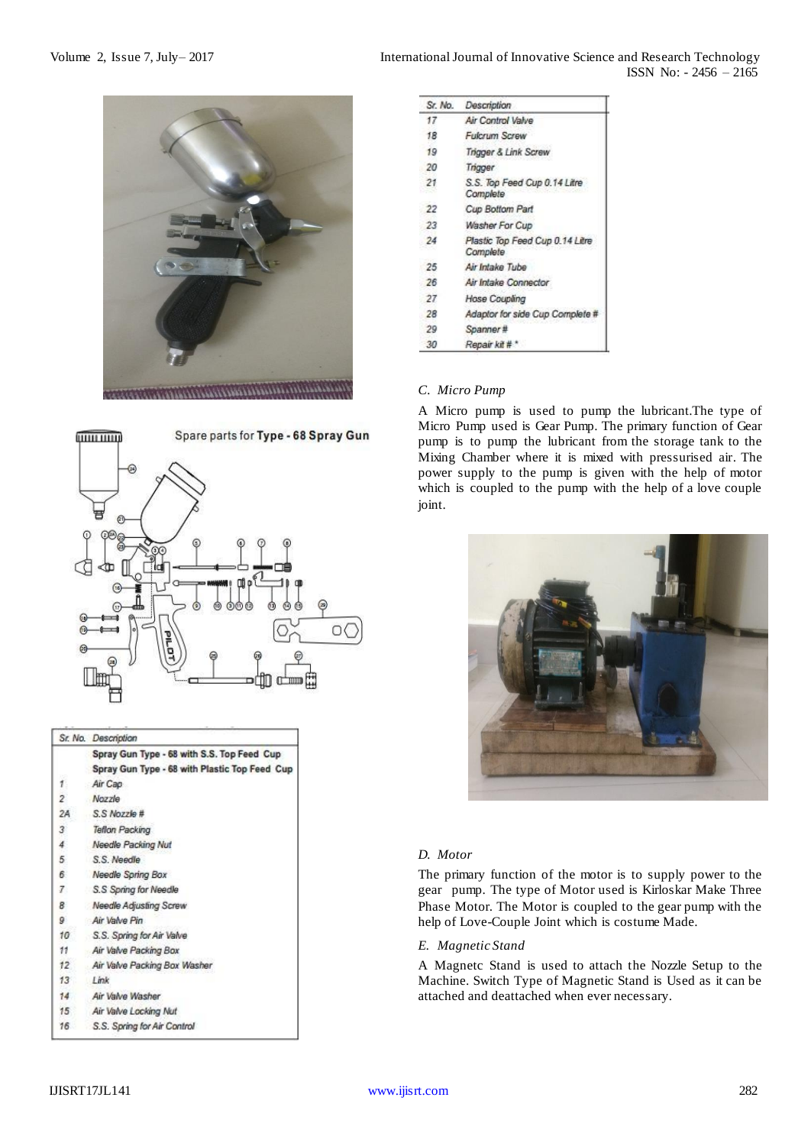



|                 | Sr. No. Description                           |
|-----------------|-----------------------------------------------|
|                 | Spray Gun Type - 68 with S.S. Top Feed Cup    |
|                 | Spray Gun Type - 68 with Plastic Top Feed Cup |
| 82<br>1.        | Air Cap                                       |
| $\overline{2}$  | Nozzle                                        |
| 2A              | S.S Nozzle #                                  |
| $3^{\circ}$     | Teflon Packing                                |
| 4               | Needle Packing Nut                            |
| 5               | S.S. Needle                                   |
| 6               | Needle Spring Box                             |
| 7.              | S.S Spring for Needle                         |
| 8               | Needle Adjusting Screw                        |
| 9               | Air Valve Pin                                 |
| 10 <sub>1</sub> | S.S. Spring for Air Valve                     |
| 11              | Air Valve Packing Box                         |
| $12^{\circ}$    | Air Valve Packing Box Washer                  |
| 13              | 1 ink                                         |
| 14.             | Air Valve Washer                              |
| $15^{\circ}$    | Air Valve Locking Nut                         |
| 16              | S.S. Spring for Air Control                   |

Volume 2, Issue 7, July–2017 **International Journal of Innovative Science and Research Technology** ISSN No: - 2456 – 2165

| Sr. No. | Description                                 |
|---------|---------------------------------------------|
| 17      | Air Control Valve                           |
| 18      | <b>Fulcrum Screw</b>                        |
| 19      | Trigger & Link Screw                        |
| 20      | Trigger                                     |
| 21      | S.S. Top Feed Cup 0.14 Litre<br>Complete    |
| 22      | Cup Bottom Part                             |
| 23      | Washer For Cup                              |
| 24      | Plastic Top Feed Cup 0.14 Litre<br>Complete |
| 25      | Air Intake Tube                             |
| 26      | Air Intake Connector                        |
| 27      | Hose Coupling                               |
| 28      | Adaptor for side Cup Complete #             |
| 29      | Spanner#                                    |
| 30      | Repair kit # *                              |

## *C. Micro Pump*

A Micro pump is used to pump the lubricant.The type of Micro Pump used is Gear Pump. The primary function of Gear pump is to pump the lubricant from the storage tank to the Mixing Chamber where it is mixed with pressurised air. The power supply to the pump is given with the help of motor which is coupled to the pump with the help of a love couple joint.



# *D. Motor*

The primary function of the motor is to supply power to the gear pump. The type of Motor used is Kirloskar Make Three Phase Motor. The Motor is coupled to the gear pump with the help of Love-Couple Joint which is costume Made.

#### *E. Magnetic Stand*

A Magnetc Stand is used to attach the Nozzle Setup to the Machine. Switch Type of Magnetic Stand is Used as it can be attached and deattached when ever necessary.